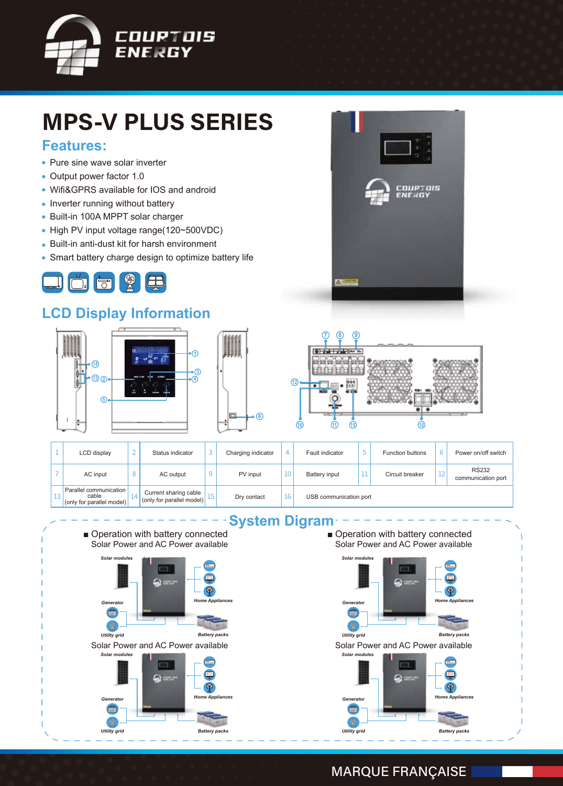

# **MPS-V PLUS SERIES**

#### **Features:**

- Pure sine wave solar inverter
- Output power factor 1.0
- Wifi&GPRS available for IOS and android
- Inverter running without battery
- Built-in 100A MPPT solar charger
- High PV input voltage range(120~500VDC)
- Built-in anti-dust kit for harsh environment
- Smart battery charge design to optimize battery life



### **LCD Display Information**







| LCD display                                                  | Status indicator                                   | Charging indicator | $\overline{4}$ | Fault indicator        |  | <b>Function buttons</b> |              | Power on/off switch                |
|--------------------------------------------------------------|----------------------------------------------------|--------------------|----------------|------------------------|--|-------------------------|--------------|------------------------------------|
| AC input                                                     | AC output                                          | PV input           | 10             | Battery input          |  | Circuit breaker         | $\sim$<br>ΤT | <b>RS232</b><br>communication port |
| Parallel communication<br>cable<br>(only for parallel model) | Current sharing cable<br>conly for parallel model) | Dry contact        | 16             | USB communication port |  |                         |              |                                    |

**6**

#### **System Digram**

■ Operation with battery connected Solar Power and AC Power available



■ Operation with battery connected Solar Power and AC Power available





#### **MARQUE FRANÇAISE**